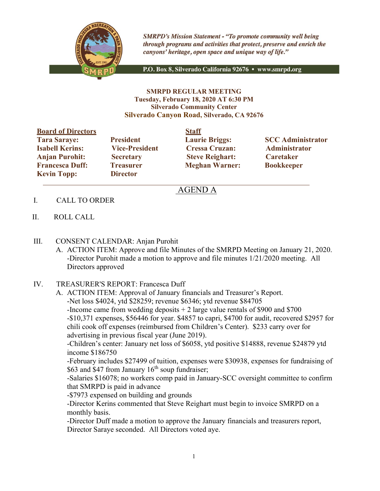

**SMRPD's Mission Statement - "To promote community well being** through programs and activities that protect, preserve and enrich the canyons' heritage, open space and unique way of life."

P.O. Box 8, Silverado California 92676 · www.smrpd.org

#### SMRPD REGULAR MEETING Tuesday, February 18, 2020 AT 6:30 PM Silverado Community Center Silverado Canyon Road, Silverado, CA 92676

| <b>Board of Directors</b> |                       | <b>Staff</b> |
|---------------------------|-----------------------|--------------|
| <b>Tara Saraye:</b>       | <b>President</b>      | Laur         |
| <b>Isabell Kerins:</b>    | <b>Vice-President</b> | <b>Cress</b> |
| <b>Anjan Purohit:</b>     | <b>Secretary</b>      | <b>Steve</b> |
| <b>Francesca Duff:</b>    | <b>Treasurer</b>      | Megh         |
| <b>Kevin Topp:</b>        | <b>Director</b>       |              |

Vice-President Cressa Cruzan: Administrator Secretary Steve Reighart: Caretaker Treasurer Meghan Warner: Bookkeeper

President Laurie Briggs: SCC Administrator

# AGEND A

- I. CALL TO ORDER
- II. ROLL CALL
- III. CONSENT CALENDAR: Anjan Purohit
	- A. ACTION ITEM: Approve and file Minutes of the SMRPD Meeting on January 21, 2020. -Director Purohit made a motion to approve and file minutes 1/21/2020 meeting. All Directors approved
- IV. TREASURER'S REPORT: Francesca Duff
	- A. ACTION ITEM: Approval of January financials and Treasurer's Report. -Net loss \$4024, ytd \$28259; revenue \$6346; ytd revenue \$84705 -Income came from wedding deposits  $+2$  large value rentals of \$900 and \$700 -\$10,371 expenses, \$56446 for year. \$4857 to capri, \$4700 for audit, recovered \$2957 for chili cook off expenses (reimbursed from Children's Center). \$233 carry over for advertising in previous fiscal year (June 2019).

-Children's center: January net loss of \$6058, ytd positive \$14888, revenue \$24879 ytd income \$186750

-February includes \$27499 of tuition, expenses were \$30938, expenses for fundraising of \$63 and \$47 from January  $16<sup>th</sup>$  soup fundraiser;

-Salaries \$16078; no workers comp paid in January-SCC oversight committee to confirm that SMRPD is paid in advance

-\$7973 expensed on building and grounds

-Director Kerins commented that Steve Reighart must begin to invoice SMRPD on a monthly basis.

-Director Duff made a motion to approve the January financials and treasurers report, Director Saraye seconded. All Directors voted aye.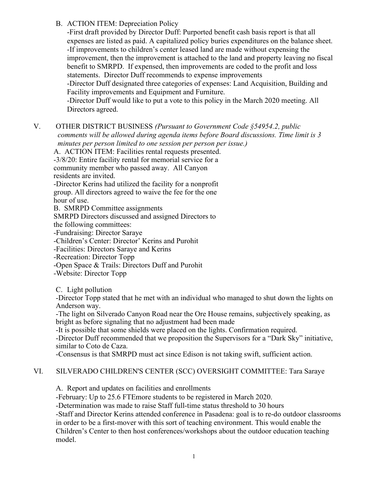B. ACTION ITEM: Depreciation Policy

-First draft provided by Director Duff: Purported benefit cash basis report is that all expenses are listed as paid. A capitalized policy buries expenditures on the balance sheet. -If improvements to children's center leased land are made without expensing the improvement, then the improvement is attached to the land and property leaving no fiscal benefit to SMRPD. If expensed, then improvements are coded to the profit and loss statements. Director Duff recommends to expense improvements

-Director Duff designated three categories of expenses: Land Acquisition, Building and Facility improvements and Equipment and Furniture.

-Director Duff would like to put a vote to this policy in the March 2020 meeting. All Directors agreed.

V. OTHER DISTRICT BUSINESS (Pursuant to Government Code §54954.2, public comments will be allowed during agenda items before Board discussions. Time limit is 3 minutes per person limited to one session per person per issue.)

A. ACTION ITEM: Facilities rental requests presented. -3/8/20: Entire facility rental for memorial service for a community member who passed away. All Canyon residents are invited.

-Director Kerins had utilized the facility for a nonprofit group. All directors agreed to waive the fee for the one hour of use.

B. SMRPD Committee assignments

SMRPD Directors discussed and assigned Directors to

the following committees:

-Fundraising: Director Saraye

-Children's Center: Director' Kerins and Purohit

-Facilities: Directors Saraye and Kerins

-Recreation: Director Topp

-Open Space & Trails: Directors Duff and Purohit

-Website: Director Topp

C. Light pollution

-Director Topp stated that he met with an individual who managed to shut down the lights on Anderson way.

-The light on Silverado Canyon Road near the Ore House remains, subjectively speaking, as bright as before signaling that no adjustment had been made

-It is possible that some shields were placed on the lights. Confirmation required.

-Director Duff recommended that we proposition the Supervisors for a "Dark Sky" initiative, similar to Coto de Caza.

-Consensus is that SMRPD must act since Edison is not taking swift, sufficient action.

### VI. SILVERADO CHILDREN'S CENTER (SCC) OVERSIGHT COMMITTEE: Tara Saraye

A. Report and updates on facilities and enrollments

-February: Up to 25.6 FTEmore students to be registered in March 2020.

-Determination was made to raise Staff full-time status threshold to 30 hours

-Staff and Director Kerins attended conference in Pasadena: goal is to re-do outdoor classrooms in order to be a first-mover with this sort of teaching environment. This would enable the Children's Center to then host conferences/workshops about the outdoor education teaching model.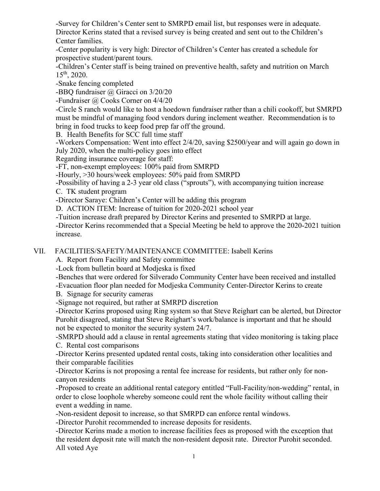-Survey for Children's Center sent to SMRPD email list, but responses were in adequate. Director Kerins stated that a revised survey is being created and sent out to the Children's Center families.

-Center popularity is very high: Director of Children's Center has created a schedule for prospective student/parent tours.

-Children's Center staff is being trained on preventive health, safety and nutrition on March 15th, 2020.

-Snake fencing completed

-BBQ fundraiser @ Giracci on 3/20/20

-Fundraiser @ Cooks Corner on 4/4/20

-Circle S ranch would like to host a hoedown fundraiser rather than a chili cookoff, but SMRPD must be mindful of managing food vendors during inclement weather. Recommendation is to bring in food trucks to keep food prep far off the ground.

B. Health Benefits for SCC full time staff

-Workers Compensation: Went into effect 2/4/20, saving \$2500/year and will again go down in July 2020, when the multi-policy goes into effect

Regarding insurance coverage for staff:

-FT, non-exempt employees: 100% paid from SMRPD

-Hourly, >30 hours/week employees: 50% paid from SMRPD

-Possibility of having a 2-3 year old class ("sprouts"), with accompanying tuition increase

C. TK student program

-Director Saraye: Children's Center will be adding this program

D. ACTION ITEM: Increase of tuition for 2020-2021 school year

-Tuition increase draft prepared by Director Kerins and presented to SMRPD at large.

-Director Kerins recommended that a Special Meeting be held to approve the 2020-2021 tuition increase.

# VII. FACILITIES/SAFETY/MAINTENANCE COMMITTEE: Isabell Kerins

A. Report from Facility and Safety committee

-Lock from bulletin board at Modjeska is fixed

-Benches that were ordered for Silverado Community Center have been received and installed

-Evacuation floor plan needed for Modjeska Community Center-Director Kerins to create

B. Signage for security cameras

-Signage not required, but rather at SMRPD discretion

-Director Kerins proposed using Ring system so that Steve Reighart can be alerted, but Director Purohit disagreed, stating that Steve Reighart's work/balance is important and that he should not be expected to monitor the security system 24/7.

-SMRPD should add a clause in rental agreements stating that video monitoring is taking place C. Rental cost comparisons

-Director Kerins presented updated rental costs, taking into consideration other localities and their comparable facilities

-Director Kerins is not proposing a rental fee increase for residents, but rather only for noncanyon residents

-Proposed to create an additional rental category entitled "Full-Facility/non-wedding" rental, in order to close loophole whereby someone could rent the whole facility without calling their event a wedding in name.

-Non-resident deposit to increase, so that SMRPD can enforce rental windows.

-Director Purohit recommended to increase deposits for residents.

-Director Kerins made a motion to increase facilities fees as proposed with the exception that the resident deposit rate will match the non-resident deposit rate. Director Purohit seconded. All voted Aye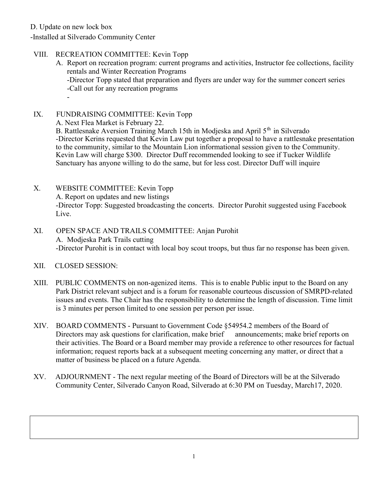### D. Update on new lock box

-Installed at Silverado Community Center

# VIII. RECREATION COMMITTEE: Kevin Topp

- A. Report on recreation program: current programs and activities, Instructor fee collections, facility rentals and Winter Recreation Programs -Director Topp stated that preparation and flyers are under way for the summer concert series -Call out for any recreation programs -
- IX. FUNDRAISING COMMITTEE: Kevin Topp

A. Next Flea Market is February 22.

B. Rattlesnake Aversion Training March 15th in Modjeska and April 5<sup>th</sup> in Silverado -Director Kerins requested that Kevin Law put together a proposal to have a rattlesnake presentation to the community, similar to the Mountain Lion informational session given to the Community. Kevin Law will charge \$300. Director Duff recommended looking to see if Tucker Wildlife Sanctuary has anyone willing to do the same, but for less cost. Director Duff will inquire

- X. WEBSITE COMMITTEE: Kevin Topp A. Report on updates and new listings -Director Topp: Suggested broadcasting the concerts. Director Purohit suggested using Facebook Live.
- XI. OPEN SPACE AND TRAILS COMMITTEE: Anjan Purohit A. Modjeska Park Trails cutting -Director Purohit is in contact with local boy scout troops, but thus far no response has been given.
- XII. CLOSED SESSION:
- XIII. PUBLIC COMMENTS on non-agenized items. This is to enable Public input to the Board on any Park District relevant subject and is a forum for reasonable courteous discussion of SMRPD-related issues and events. The Chair has the responsibility to determine the length of discussion. Time limit is 3 minutes per person limited to one session per person per issue.
- XIV. BOARD COMMENTS Pursuant to Government Code §54954.2 members of the Board of Directors may ask questions for clarification, make brief announcements; make brief reports on their activities. The Board or a Board member may provide a reference to other resources for factual information; request reports back at a subsequent meeting concerning any matter, or direct that a matter of business be placed on a future Agenda.
- XV. ADJOURNMENT The next regular meeting of the Board of Directors will be at the Silverado Community Center, Silverado Canyon Road, Silverado at 6:30 PM on Tuesday, March17, 2020.